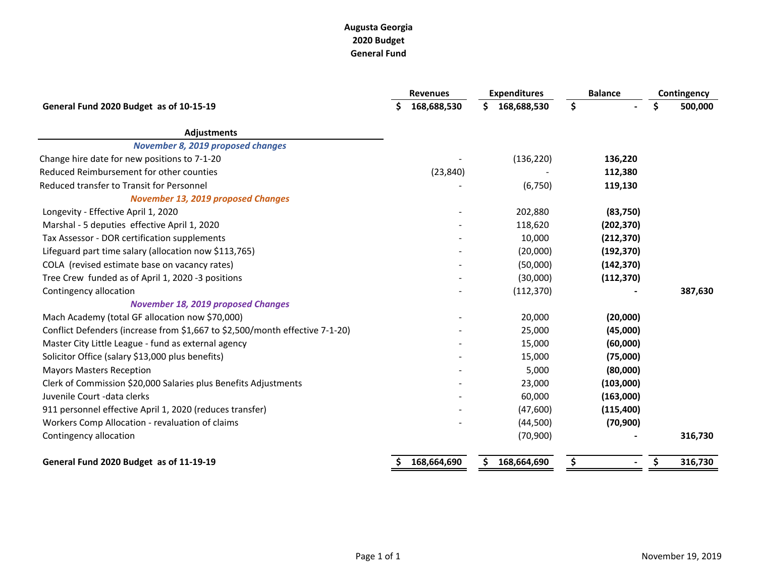## **Augusta Georgia 2020 Budget General Fund**

|                                                                              |    | <b>Revenues</b> | <b>Expenditures</b> |             | <b>Balance</b> |            | Contingency |         |
|------------------------------------------------------------------------------|----|-----------------|---------------------|-------------|----------------|------------|-------------|---------|
| General Fund 2020 Budget as of 10-15-19                                      |    | 168,688,530     | Ś.                  | 168,688,530 | \$             |            | \$          | 500,000 |
| <b>Adjustments</b>                                                           |    |                 |                     |             |                |            |             |         |
| <b>November 8, 2019 proposed changes</b>                                     |    |                 |                     |             |                |            |             |         |
| Change hire date for new positions to 7-1-20                                 |    |                 |                     | (136, 220)  |                | 136,220    |             |         |
| Reduced Reimbursement for other counties                                     |    | (23, 840)       |                     |             |                | 112,380    |             |         |
| Reduced transfer to Transit for Personnel                                    |    |                 |                     | (6, 750)    |                | 119,130    |             |         |
| <b>November 13, 2019 proposed Changes</b>                                    |    |                 |                     |             |                |            |             |         |
| Longevity - Effective April 1, 2020                                          |    |                 |                     | 202,880     |                | (83,750)   |             |         |
| Marshal - 5 deputies effective April 1, 2020                                 |    |                 |                     | 118,620     |                | (202, 370) |             |         |
| Tax Assessor - DOR certification supplements                                 |    |                 |                     | 10,000      |                | (212, 370) |             |         |
| Lifeguard part time salary (allocation now \$113,765)                        |    |                 |                     | (20,000)    |                | (192, 370) |             |         |
| COLA (revised estimate base on vacancy rates)                                |    |                 |                     | (50,000)    |                | (142, 370) |             |         |
| Tree Crew funded as of April 1, 2020 -3 positions                            |    |                 |                     | (30,000)    |                | (112, 370) |             |         |
| Contingency allocation                                                       |    |                 |                     | (112, 370)  |                |            |             | 387,630 |
| <b>November 18, 2019 proposed Changes</b>                                    |    |                 |                     |             |                |            |             |         |
| Mach Academy (total GF allocation now \$70,000)                              |    |                 |                     | 20,000      |                | (20,000)   |             |         |
| Conflict Defenders (increase from \$1,667 to \$2,500/month effective 7-1-20) |    |                 |                     | 25,000      |                | (45,000)   |             |         |
| Master City Little League - fund as external agency                          |    |                 |                     | 15,000      |                | (60,000)   |             |         |
| Solicitor Office (salary \$13,000 plus benefits)                             |    |                 |                     | 15,000      |                | (75,000)   |             |         |
| <b>Mayors Masters Reception</b>                                              |    |                 |                     | 5,000       |                | (80,000)   |             |         |
| Clerk of Commission \$20,000 Salaries plus Benefits Adjustments              |    |                 |                     | 23,000      |                | (103,000)  |             |         |
| Juvenile Court - data clerks                                                 |    |                 |                     | 60,000      |                | (163,000)  |             |         |
| 911 personnel effective April 1, 2020 (reduces transfer)                     |    |                 |                     | (47,600)    |                | (115, 400) |             |         |
| Workers Comp Allocation - revaluation of claims                              |    |                 |                     | (44,500)    |                | (70, 900)  |             |         |
| Contingency allocation                                                       |    |                 |                     | (70, 900)   |                |            |             | 316,730 |
| General Fund 2020 Budget as of 11-19-19                                      | \$ | 168,664,690     | \$.                 | 168,664,690 | \$             |            | \$          | 316,730 |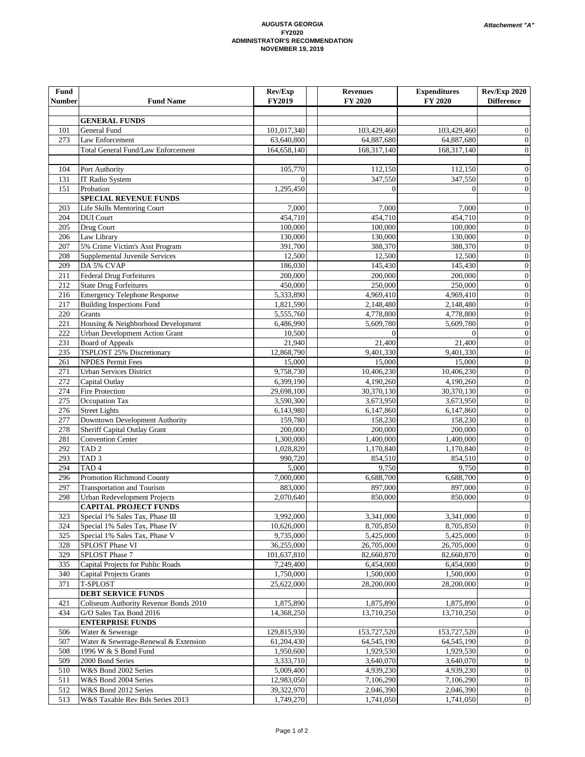#### **AUGUSTA GEORGIA FY2020 ADMINISTRATOR'S RECOMMENDATION NOVEMBER 19, 2019**

| <b>Fund</b><br><b>Number</b> | <b>Fund Name</b>                                                   | Rev/Exp<br>FY2019       | <b>Revenues</b><br>FY 2020 | <b>Expenditures</b><br>FY 2020 | Rev/Exp 2020<br><b>Difference</b>    |
|------------------------------|--------------------------------------------------------------------|-------------------------|----------------------------|--------------------------------|--------------------------------------|
|                              |                                                                    |                         |                            |                                |                                      |
|                              | <b>GENERAL FUNDS</b>                                               |                         |                            |                                |                                      |
| 101                          | <b>General Fund</b>                                                | 101,017,340             | 103,429,460                | 103,429,460                    | 0                                    |
| 273                          | Law Enforcement                                                    | 63,640,800              | 64,887,680                 | 64,887,680                     | $\boldsymbol{0}$                     |
|                              | <b>Total General Fund/Law Enforcement</b>                          | 164,658,140             | 168,317,140                | 168,317,140                    | $\mathbf{0}$                         |
|                              |                                                                    |                         |                            |                                |                                      |
| 104                          | Port Authority                                                     | 105,770<br>$\Omega$     | 112,150                    | 112,150                        | $\mathbf{0}$                         |
| 131<br>151                   | <b>IT Radio System</b><br>Probation                                | 1,295,450               | 347,550<br>$\Omega$        | 347,550<br>$\Omega$            | $\boldsymbol{0}$<br>$\boldsymbol{0}$ |
|                              | <b>SPECIAL REVENUE FUNDS</b>                                       |                         |                            |                                |                                      |
| 203                          | <b>Life Skills Mentoring Court</b>                                 | 7,000                   | 7,000                      | 7,000                          | $\mathbf{0}$                         |
| 204                          | <b>DUI</b> Court                                                   | 454,710                 | 454,710                    | 454,710                        | $\boldsymbol{0}$                     |
| 205                          | Drug Court                                                         | 100,000                 | 100,000                    | 100,000                        | $\boldsymbol{0}$                     |
| 206                          | Law Library                                                        | 130,000                 | 130,000                    | 130,000                        | $\boldsymbol{0}$                     |
| 207                          | 5% Crime Victim's Asst Program                                     | 391,700                 | 388,370                    | 388,370                        | $\boldsymbol{0}$                     |
| 208                          | Supplemental Juvenile Services                                     | 12,500                  | 12,500                     | 12,500                         | $\boldsymbol{0}$                     |
| 209                          | DA 5% CVAP<br><b>Federal Drug Forfeitures</b>                      | 186,030                 | 145,430                    | 145,430                        | $\boldsymbol{0}$<br>$\boldsymbol{0}$ |
| 211<br>$21\overline{2}$      | <b>State Drug Forfeitures</b>                                      | 200,000<br>450,000      | 200,000<br>250,000         | 200,000<br>250,000             | $\boldsymbol{0}$                     |
| 216                          | <b>Emergency Telephone Response</b>                                | 5,333,890               | 4,969,410                  | 4,969,410                      | $\boldsymbol{0}$                     |
| 217                          | <b>Building Inspections Fund</b>                                   | 1,821,590               | 2,148,480                  | 2,148,480                      | $\boldsymbol{0}$                     |
| 220                          | Grants                                                             | 5,555,760               | 4,778,800                  | 4,778,800                      | $\boldsymbol{0}$                     |
| 221                          | Housing & Neighborhood Development                                 | 6,486,990               | 5,609,780                  | 5,609,780                      | $\boldsymbol{0}$                     |
| 222                          | <b>Urban Development Action Grant</b>                              | 10,500                  | $\Omega$                   | $\Omega$                       | $\boldsymbol{0}$                     |
| 231                          | <b>Board of Appeals</b>                                            | 21,940                  | 21,400                     | 21,400                         | $\boldsymbol{0}$                     |
| 235                          | TSPLOST 25% Discretionary                                          | 12,868,790              | 9,401,330                  | 9,401,330                      | $\boldsymbol{0}$                     |
| 261                          | <b>NPDES Permit Fees</b>                                           | 15,000                  | 15,000                     | 15,000                         | $\boldsymbol{0}$                     |
| 271                          | <b>Urban Services District</b>                                     | 9,758,730               | 10,406,230                 | 10,406,230                     | $\boldsymbol{0}$                     |
| 272<br>274                   | Capital Outlay<br><b>Fire Protection</b>                           | 6,399,190               | 4,190,260                  | 4,190,260                      | $\boldsymbol{0}$<br>$\boldsymbol{0}$ |
| 275                          | Occupation Tax                                                     | 29,698,100<br>3,590,300 | 30,370,130<br>3,673,950    | 30,370,130<br>3,673,950        | $\boldsymbol{0}$                     |
| 276                          | <b>Street Lights</b>                                               | 6,143,980               | 6,147,860                  | 6,147,860                      | $\boldsymbol{0}$                     |
| 277                          | Downtown Development Authority                                     | 159,780                 | 158,230                    | 158,230                        | $\boldsymbol{0}$                     |
| 278                          | Sheriff Capital Outlay Grant                                       | 200,000                 | 200,000                    | 200,000                        | $\boldsymbol{0}$                     |
| 281                          | Convention Center                                                  | 1,300,000               | 1,400,000                  | 1,400,000                      | $\boldsymbol{0}$                     |
| 292                          | TAD <sub>2</sub>                                                   | 1,028,820               | 1,170,840                  | 1,170,840                      | $\boldsymbol{0}$                     |
| 293                          | TAD <sub>3</sub>                                                   | 990,720                 | 854,510                    | 854,510                        | $\boldsymbol{0}$                     |
| 294                          | TAD <sub>4</sub>                                                   | 5,000                   | 9,750                      | 9,750                          | $\boldsymbol{0}$                     |
| 296                          | Promotion Richmond County                                          | 7,000,000               | 6,688,700                  | 6,688,700                      | $\boldsymbol{0}$                     |
| 297<br>298                   | <b>Transportation and Tourism</b>                                  | 883,000<br>2,070,640    | 897,000<br>850,000         | 897,000<br>850,000             | $\boldsymbol{0}$<br>$\boldsymbol{0}$ |
|                              | Urban Redevelopment Projects<br><b>CAPITAL PROJECT FUNDS</b>       |                         |                            |                                |                                      |
| 323                          | Special 1% Sales Tax, Phase III                                    | 3,992,000               | 3,341,000                  | 3,341,000                      | $\theta$                             |
| 324                          | Special 1% Sales Tax, Phase IV                                     | 10,626,000              | 8,705,850                  | 8,705,850                      | $\boldsymbol{0}$                     |
| 325                          | Special 1% Sales Tax, Phase V                                      | 9,735,000               | 5,425,000                  | 5,425,000                      | $\boldsymbol{0}$                     |
| 328                          | SPLOST Phase VI                                                    | 36,255,000              | 26,705,000                 | 26,705,000                     | $\overline{0}$                       |
| 329                          | SPLOST Phase 7                                                     | 101,637,810             | 82,660,870                 | 82,660,870                     | $\boldsymbol{0}$                     |
| 335                          | Capital Projects for Public Roads                                  | 7,249,400               | 6,454,000                  | 6,454,000                      | $\boldsymbol{0}$                     |
| 340                          | <b>Capital Projects Grants</b>                                     | 1,750,000               | 1,500,000                  | 1,500,000                      | $\boldsymbol{0}$                     |
| 371                          | <b>T-SPLOST</b>                                                    | 25,622,000              | 28,200,000                 | 28,200,000                     | $\boldsymbol{0}$                     |
|                              | <b>DEBT SERVICE FUNDS</b><br>Coliseum Authority Revenue Bonds 2010 |                         | 1,875,890                  |                                | $\bf{0}$                             |
| 421<br>434                   | G/O Sales Tax Bond 2016                                            | 1,875,890<br>14,368,250 | 13,710,250                 | 1,875,890<br>13,710,250        | $\boldsymbol{0}$                     |
|                              | <b>ENTERPRISE FUNDS</b>                                            |                         |                            |                                |                                      |
| 506                          | Water & Sewerage                                                   | 129,815,930             | 153,727,520                | 153,727,520                    | $\boldsymbol{0}$                     |
| 507                          | Water & Sewerage-Renewal & Extension                               | 61,204,430              | 64,545,190                 | 64,545,190                     | $\boldsymbol{0}$                     |
| 508                          | 1996 W & S Bond Fund                                               | 1,950,600               | 1,929,530                  | 1,929,530                      | $\boldsymbol{0}$                     |
| 509                          | 2000 Bond Series                                                   | 3,333,710               | 3,640,070                  | 3,640,070                      | $\boldsymbol{0}$                     |
| 510                          | W&S Bond 2002 Series                                               | 5,009,400               | 4,939,230                  | 4,939,230                      | $\boldsymbol{0}$                     |
| 511                          | W&S Bond 2004 Series                                               | 12,983,050              | 7,106,290                  | 7,106,290                      | $\boldsymbol{0}$                     |
| 512                          | W&S Bond 2012 Series                                               | 39,322,970              | 2,046,390                  | 2,046,390                      | $\boldsymbol{0}$                     |
| 513                          | W&S Taxable Rev Bds Series 2013                                    | 1,749,270               | 1,741,050                  | 1,741,050                      | $\boldsymbol{0}$                     |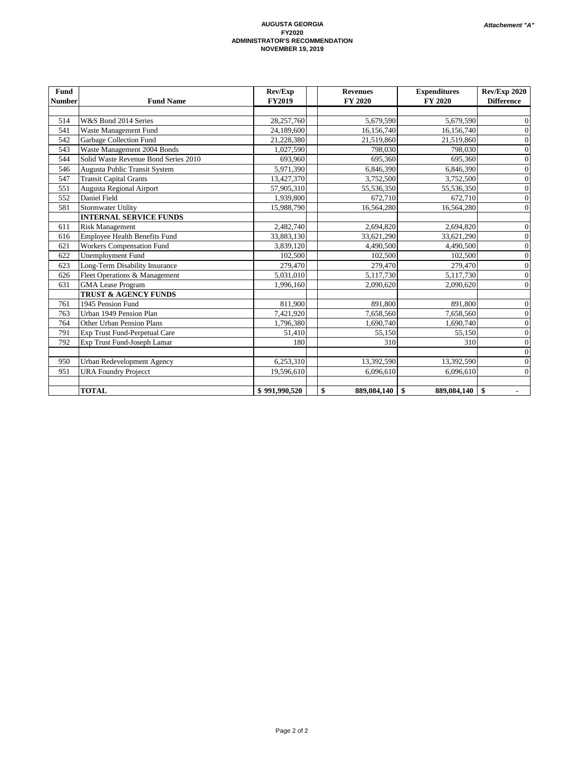#### **AUGUSTA GEORGIA FY2020 ADMINISTRATOR'S RECOMMENDATION NOVEMBER 19, 2019**

| Fund          |                                      | Rev/Exp       | <b>Revenues</b>   | <b>Expenditures</b> | <b>Rev/Exp 2020</b> |  |
|---------------|--------------------------------------|---------------|-------------------|---------------------|---------------------|--|
| <b>Number</b> | <b>Fund Name</b>                     | <b>FY2019</b> | FY 2020           | FY 2020             | <b>Difference</b>   |  |
|               |                                      |               |                   |                     |                     |  |
| 514           | W&S Bond 2014 Series                 | 28,257,760    | 5,679,590         | 5,679,590           | 0                   |  |
| 541           | Waste Management Fund                | 24,189,600    | 16,156,740        | 16,156,740          | $\overline{0}$      |  |
| 542           | Garbage Collection Fund              | 21,228,380    | 21,519,860        | 21,519,860          | $\boldsymbol{0}$    |  |
| 543           | Waste Management 2004 Bonds          | 1,027,590     | 798,030           | 798,030             | $\boldsymbol{0}$    |  |
| 544           | Solid Waste Revenue Bond Series 2010 | 693,960       | 695,360           | 695,360             | $\boldsymbol{0}$    |  |
| 546           | Augusta Public Transit System        | 5,971,390     | 6,846,390         | 6,846,390           | $\boldsymbol{0}$    |  |
| 547           | <b>Transit Capital Grants</b>        | 13,427,370    | 3,752,500         | 3,752,500           | $\boldsymbol{0}$    |  |
| 551           | <b>Augusta Regional Airport</b>      | 57,905,310    | 55,536,350        | 55,536,350          | $\boldsymbol{0}$    |  |
| 552           | Daniel Field                         | 1,939,800     | 672,710           | 672,710             | $\boldsymbol{0}$    |  |
| 581           | <b>Stormwater Utility</b>            | 15,988,790    | 16,564,280        | 16,564,280          | $\overline{0}$      |  |
|               | <b>INTERNAL SERVICE FUNDS</b>        |               |                   |                     |                     |  |
| 611           | <b>Risk Management</b>               | 2,482,740     | 2,694,820         | 2,694,820           | $\boldsymbol{0}$    |  |
| 616           | <b>Employee Health Benefits Fund</b> | 33,883,130    | 33,621,290        | 33,621,290          | $\boldsymbol{0}$    |  |
| 621           | <b>Workers Compensation Fund</b>     | 3,839,120     | 4,490,500         | 4,490,500           | $\boldsymbol{0}$    |  |
| 622           | <b>Unemployment Fund</b>             | 102,500       | 102,500           | 102,500             | $\boldsymbol{0}$    |  |
| 623           | Long-Term Disability Insurance       | 279,470       | 279,470           | 279,470             | $\boldsymbol{0}$    |  |
| 626           | Fleet Operations & Management        | 5,031,010     | 5,117,730         | 5,117,730           | $\boldsymbol{0}$    |  |
| 631           | <b>GMA</b> Lease Program             | 1,996,160     | 2,090,620         | 2,090,620           | $\mathbf{0}$        |  |
|               | <b>TRUST &amp; AGENCY FUNDS</b>      |               |                   |                     |                     |  |
| 761           | 1945 Pension Fund                    | 811,900       | 891,800           | 891,800             | $\boldsymbol{0}$    |  |
| 763           | Urban 1949 Pension Plan              | 7,421,920     | 7,658,560         | 7,658,560           | $\boldsymbol{0}$    |  |
| 764           | Other Urban Pension Plans            | 1,796,380     | 1,690,740         | 1,690,740           | $\boldsymbol{0}$    |  |
| 791           | Exp Trust Fund-Perpetual Care        | 51,410        | 55,150            | 55,150              | $\boldsymbol{0}$    |  |
| 792           | Exp Trust Fund-Joseph Lamar          | 180           | 310               | 310                 | $\boldsymbol{0}$    |  |
|               |                                      |               |                   |                     | $\boldsymbol{0}$    |  |
| 950           | <b>Urban Redevelopment Agency</b>    | 6,253,310     | 13,392,590        | 13,392,590          | $\boldsymbol{0}$    |  |
| 951           | <b>URA Foundry Projecct</b>          | 19,596,610    | 6,096,610         | 6,096,610           | $\overline{0}$      |  |
|               |                                      |               |                   |                     |                     |  |
|               | <b>TOTAL</b>                         | \$991,990,520 | 889,084,140<br>\$ | 889,084,140<br>\$   | -\$                 |  |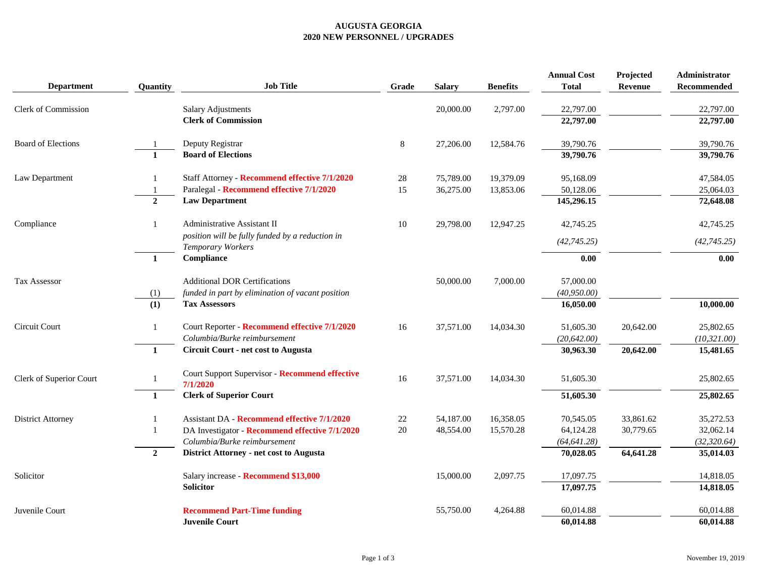### **AUGUSTA GEORGIA 2020 NEW PERSONNEL / UPGRADES**

|                            |                 |                                                                      |         |               |                 | <b>Annual Cost</b> | Projected | Administrator |
|----------------------------|-----------------|----------------------------------------------------------------------|---------|---------------|-----------------|--------------------|-----------|---------------|
| <b>Department</b>          | <b>Ouantity</b> | <b>Job Title</b>                                                     | Grade   | <b>Salary</b> | <b>Benefits</b> | <b>Total</b>       | Revenue   | Recommended   |
| <b>Clerk of Commission</b> |                 | <b>Salary Adjustments</b>                                            |         | 20,000.00     | 2,797.00        | 22,797.00          |           | 22,797.00     |
|                            |                 | <b>Clerk of Commission</b>                                           |         |               |                 | 22,797.00          |           | 22,797.00     |
| <b>Board of Elections</b>  |                 | Deputy Registrar                                                     | $\,8\,$ | 27,206.00     | 12,584.76       | 39,790.76          |           | 39,790.76     |
|                            | $\mathbf{1}$    | <b>Board of Elections</b>                                            |         |               |                 | 39,790.76          |           | 39,790.76     |
| Law Department             |                 | Staff Attorney - Recommend effective 7/1/2020                        | 28      | 75,789.00     | 19,379.09       | 95,168.09          |           | 47,584.05     |
|                            |                 | Paralegal - Recommend effective 7/1/2020                             | 15      | 36,275.00     | 13,853.06       | 50,128.06          |           | 25,064.03     |
|                            | $\overline{2}$  | <b>Law Department</b>                                                |         |               |                 | 145,296.15         |           | 72,648.08     |
| Compliance                 | 1               | <b>Administrative Assistant II</b>                                   | $10\,$  | 29,798.00     | 12,947.25       | 42,745.25          |           | 42,745.25     |
|                            |                 | position will be fully funded by a reduction in<br>Temporary Workers |         |               |                 | (42, 745.25)       |           | (42, 745.25)  |
|                            | $\mathbf{1}$    | Compliance                                                           |         |               |                 | 0.00               |           | 0.00          |
| <b>Tax Assessor</b>        |                 | <b>Additional DOR Certifications</b>                                 |         | 50,000.00     | 7,000.00        | 57,000.00          |           |               |
|                            | (1)             | funded in part by elimination of vacant position                     |         |               |                 | (40, 950.00)       |           |               |
|                            | (1)             | <b>Tax Assessors</b>                                                 |         |               |                 | 16,050.00          |           | 10,000.00     |
| Circuit Court              | $\mathbf{1}$    | Court Reporter - Recommend effective 7/1/2020                        | 16      | 37,571.00     | 14,034.30       | 51,605.30          | 20,642.00 | 25,802.65     |
|                            |                 | Columbia/Burke reimbursement                                         |         |               |                 | (20, 642.00)       |           | (10, 321.00)  |
|                            | $\mathbf{1}$    | <b>Circuit Court - net cost to Augusta</b>                           |         |               |                 | 30,963.30          | 20,642.00 | 15,481.65     |
| Clerk of Superior Court    | 1               | Court Support Supervisor - Recommend effective                       | 16      | 37,571.00     | 14,034.30       | 51,605.30          |           | 25,802.65     |
|                            | 1               | 7/1/2020<br><b>Clerk of Superior Court</b>                           |         |               |                 | 51,605.30          |           | 25,802.65     |
|                            |                 |                                                                      |         |               |                 |                    |           |               |
| <b>District Attorney</b>   | 1               | <b>Assistant DA - Recommend effective 7/1/2020</b>                   | $22\,$  | 54,187.00     | 16,358.05       | 70,545.05          | 33,861.62 | 35,272.53     |
|                            | 1               | DA Investigator - Recommend effective 7/1/2020                       | 20      | 48,554.00     | 15,570.28       | 64,124.28          | 30,779.65 | 32,062.14     |
|                            |                 | Columbia/Burke reimbursement                                         |         |               |                 | (64, 641.28)       |           | (32, 320.64)  |
|                            | $\overline{2}$  | District Attorney - net cost to Augusta                              |         |               |                 | 70,028.05          | 64,641.28 | 35,014.03     |
| Solicitor                  |                 | Salary increase - Recommend \$13,000                                 |         | 15,000.00     | 2,097.75        | 17,097.75          |           | 14,818.05     |
|                            |                 | <b>Solicitor</b>                                                     |         |               |                 | 17,097.75          |           | 14,818.05     |
| Juvenile Court             |                 | <b>Recommend Part-Time funding</b>                                   |         | 55,750.00     | 4,264.88        | 60,014.88          |           | 60,014.88     |
|                            |                 | <b>Juvenile Court</b>                                                |         |               |                 | 60,014.88          |           | 60,014.88     |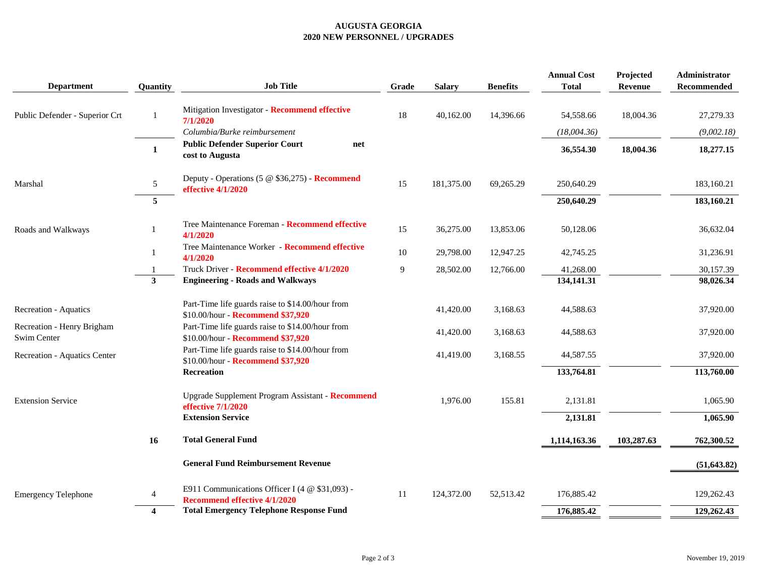### **AUGUSTA GEORGIA 2020 NEW PERSONNEL / UPGRADES**

| <b>Department</b>                         | Quantity       | <b>Job Title</b>                                                                      | Grade          | <b>Salary</b> | <b>Benefits</b> | <b>Annual Cost</b><br><b>Total</b> | Projected<br>Revenue | Administrator<br>Recommended |
|-------------------------------------------|----------------|---------------------------------------------------------------------------------------|----------------|---------------|-----------------|------------------------------------|----------------------|------------------------------|
| Public Defender - Superior Crt            | $\overline{1}$ | Mitigation Investigator - Recommend effective<br>7/1/2020                             | 18             | 40,162.00     | 14,396.66       | 54,558.66                          | 18,004.36            | 27,279.33                    |
|                                           |                | Columbia/Burke reimbursement                                                          |                |               |                 | (18,004.36)                        |                      | (9,002.18)                   |
|                                           | 1              | <b>Public Defender Superior Court</b><br>net<br>cost to Augusta                       |                |               |                 | 36,554.30                          | 18,004.36            | 18,277.15                    |
| Marshal                                   | 5              | Deputy - Operations (5 @ \$36,275) - Recommend<br>effective 4/1/2020                  | 15             | 181,375.00    | 69,265.29       | 250,640.29                         |                      | 183,160.21                   |
|                                           | 5              |                                                                                       |                |               |                 | 250,640.29                         |                      | 183,160.21                   |
| Roads and Walkways                        |                | Tree Maintenance Foreman - Recommend effective<br>4/1/2020                            | 15             | 36,275.00     | 13,853.06       | 50,128.06                          |                      | 36,632.04                    |
|                                           | 1              | Tree Maintenance Worker - Recommend effective<br>4/1/2020                             | $10\,$         | 29,798.00     | 12,947.25       | 42,745.25                          |                      | 31,236.91                    |
|                                           |                | Truck Driver - Recommend effective 4/1/2020                                           | $\overline{9}$ | 28,502.00     | 12,766.00       | 41,268.00                          |                      | 30,157.39                    |
|                                           | 3              | <b>Engineering - Roads and Walkways</b>                                               |                |               |                 | 134,141.31                         |                      | 98,026.34                    |
| Recreation - Aquatics                     |                | Part-Time life guards raise to \$14.00/hour from<br>\$10.00/hour - Recommend \$37,920 |                | 41,420.00     | 3,168.63        | 44,588.63                          |                      | 37,920.00                    |
| Recreation - Henry Brigham<br>Swim Center |                | Part-Time life guards raise to \$14.00/hour from<br>\$10.00/hour - Recommend \$37,920 |                | 41,420.00     | 3,168.63        | 44,588.63                          |                      | 37,920.00                    |
| Recreation - Aquatics Center              |                | Part-Time life guards raise to \$14.00/hour from<br>\$10.00/hour - Recommend \$37,920 |                | 41,419.00     | 3,168.55        | 44,587.55                          |                      | 37,920.00                    |
|                                           |                | <b>Recreation</b>                                                                     |                |               |                 | 133,764.81                         |                      | 113,760.00                   |
| <b>Extension Service</b>                  |                | Upgrade Supplement Program Assistant - Recommend<br>effective 7/1/2020                |                | 1,976.00      | 155.81          | 2,131.81                           |                      | 1,065.90                     |
|                                           |                | <b>Extension Service</b>                                                              |                |               |                 | 2,131.81                           |                      | 1,065.90                     |
|                                           | 16             | <b>Total General Fund</b>                                                             |                |               |                 | 1,114,163.36                       | 103,287.63           | 762,300.52                   |
|                                           |                | <b>General Fund Reimbursement Revenue</b>                                             |                |               |                 |                                    |                      | (51, 643.82)                 |
| <b>Emergency Telephone</b>                | 4              | E911 Communications Officer I (4 @ \$31,093) -<br><b>Recommend effective 4/1/2020</b> | 11             | 124,372.00    | 52,513.42       | 176,885.42                         |                      | 129,262.43                   |
|                                           | 4              | <b>Total Emergency Telephone Response Fund</b>                                        |                |               |                 | 176,885.42                         |                      | 129,262.43                   |
|                                           |                |                                                                                       |                |               |                 |                                    |                      |                              |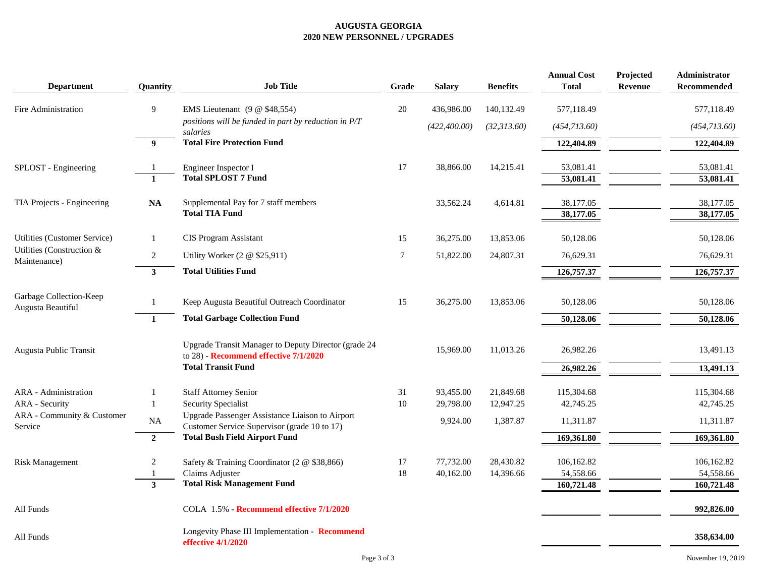### **AUGUSTA GEORGIA 2020 NEW PERSONNEL / UPGRADES**

| <b>Department</b>                            | Quantity       | <b>Job Title</b>                                                                              | Grade  | <b>Salary</b> | <b>Benefits</b> | <b>Annual Cost</b><br><b>Total</b> | Projected<br><b>Revenue</b> | Administrator<br>Recommended |
|----------------------------------------------|----------------|-----------------------------------------------------------------------------------------------|--------|---------------|-----------------|------------------------------------|-----------------------------|------------------------------|
| Fire Administration                          | 9              | EMS Lieutenant (9 @ \$48,554)                                                                 | 20     | 436,986.00    | 140,132.49      | 577,118.49                         |                             | 577,118.49                   |
|                                              |                | positions will be funded in part by reduction in P/T<br>salaries                              |        | (422, 400.00) | (32,313.60)     | (454, 713.60)                      |                             | (454,713.60)                 |
|                                              | 9              | <b>Total Fire Protection Fund</b>                                                             |        |               |                 | 122,404.89                         |                             | 122,404.89                   |
| SPLOST - Engineering                         |                | Engineer Inspector I                                                                          | 17     | 38,866.00     | 14,215.41       | 53,081.41                          |                             | 53,081.41                    |
|                                              | $\mathbf{1}$   | <b>Total SPLOST 7 Fund</b>                                                                    |        |               |                 | 53,081.41                          |                             | 53,081.41                    |
| TIA Projects - Engineering                   | NA             | Supplemental Pay for 7 staff members<br><b>Total TIA Fund</b>                                 |        | 33,562.24     | 4,614.81        | 38,177.05<br>38,177.05             |                             | 38,177.05<br>38,177.05       |
| Utilities (Customer Service)                 | 1              | <b>CIS Program Assistant</b>                                                                  | 15     | 36,275.00     | 13,853.06       | 50,128.06                          |                             | 50,128.06                    |
| Utilities (Construction &<br>Maintenance)    | $\overline{c}$ | Utility Worker (2 @ \$25,911)                                                                 | $\tau$ | 51,822.00     | 24,807.31       | 76,629.31                          |                             | 76,629.31                    |
|                                              | $\mathbf{3}$   | <b>Total Utilities Fund</b>                                                                   |        |               |                 | 126,757.37                         |                             | 126,757.37                   |
| Garbage Collection-Keep<br>Augusta Beautiful | 1              | Keep Augusta Beautiful Outreach Coordinator                                                   | 15     | 36,275.00     | 13,853.06       | 50,128.06                          |                             | 50,128.06                    |
|                                              | $\mathbf{1}$   | <b>Total Garbage Collection Fund</b>                                                          |        |               |                 | 50,128.06                          |                             | 50,128.06                    |
| Augusta Public Transit                       |                | Upgrade Transit Manager to Deputy Director (grade 24<br>to 28) - Recommend effective 7/1/2020 |        | 15,969.00     | 11,013.26       | 26,982.26                          |                             | 13,491.13                    |
|                                              |                | <b>Total Transit Fund</b>                                                                     |        |               |                 | 26,982.26                          |                             | 13,491.13                    |
| ARA - Administration                         | 1              | <b>Staff Attorney Senior</b>                                                                  | 31     | 93,455.00     | 21,849.68       | 115,304.68                         |                             | 115,304.68                   |
| ARA - Security<br>ARA - Community & Customer | $\mathbf{1}$   | <b>Security Specialist</b><br>Upgrade Passenger Assistance Liaison to Airport                 | 10     | 29,798.00     | 12,947.25       | 42,745.25                          |                             | 42,745.25                    |
| Service                                      | NA             | Customer Service Supervisor (grade 10 to 17)                                                  |        | 9,924.00      | 1,387.87        | 11,311.87                          |                             | 11,311.87                    |
|                                              | $\mathbf{2}$   | <b>Total Bush Field Airport Fund</b>                                                          |        |               |                 | 169,361.80                         |                             | 169,361.80                   |
| <b>Risk Management</b>                       | 2              | Safety & Training Coordinator (2 @ \$38,866)                                                  | 17     | 77,732.00     | 28,430.82       | 106,162.82                         |                             | 106,162.82                   |
|                                              | $\mathbf{3}$   | Claims Adjuster<br><b>Total Risk Management Fund</b>                                          | 18     | 40,162.00     | 14,396.66       | 54,558.66<br>160,721.48            |                             | 54,558.66<br>160,721.48      |
|                                              |                |                                                                                               |        |               |                 |                                    |                             |                              |
| All Funds                                    |                | COLA 1.5% - Recommend effective 7/1/2020                                                      |        |               |                 |                                    |                             | 992,826.00                   |
| All Funds                                    |                | Longevity Phase III Implementation - Recommend<br>effective 4/1/2020                          |        |               |                 |                                    |                             | 358,634.00                   |
|                                              |                | Page 3 of 3                                                                                   |        |               |                 |                                    |                             | November 19, 2019            |